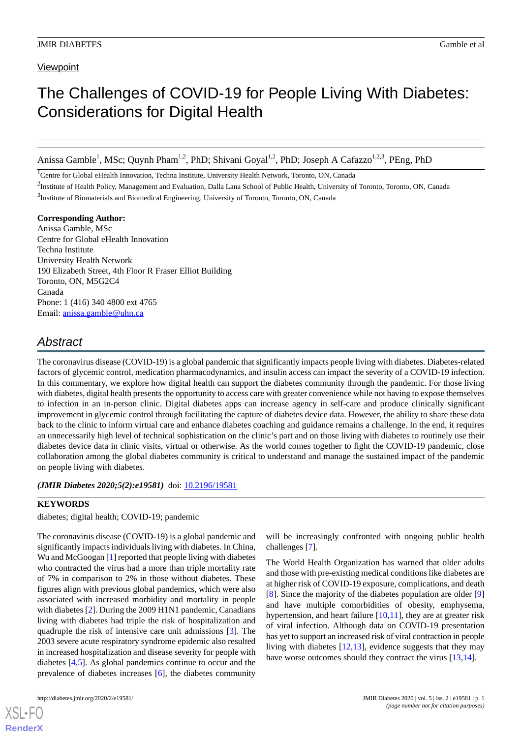# **Viewpoint**

# The Challenges of COVID-19 for People Living With Diabetes: Considerations for Digital Health

Anissa Gamble<sup>1</sup>, MSc; Quynh Pham<sup>1,2</sup>, PhD; Shivani Goyal<sup>1,2</sup>, PhD; Joseph A Cafazzo<sup>1,2,3</sup>, PEng, PhD

<sup>1</sup>Centre for Global eHealth Innovation, Techna Institute, University Health Network, Toronto, ON, Canada

<sup>2</sup>Institute of Health Policy, Management and Evaluation, Dalla Lana School of Public Health, University of Toronto, Toronto, ON, Canada <sup>3</sup>Institute of Biomaterials and Biomedical Engineering, University of Toronto, Toronto, ON, Canada

**Corresponding Author:** Anissa Gamble, MSc Centre for Global eHealth Innovation Techna Institute University Health Network 190 Elizabeth Street, 4th Floor R Fraser Elliot Building Toronto, ON, M5G2C4 Canada Phone: 1 (416) 340 4800 ext 4765 Email: [anissa.gamble@uhn.ca](mailto:anissa.gamble@uhn.ca)

# *Abstract*

The coronavirus disease (COVID-19) is a global pandemic that significantly impacts people living with diabetes. Diabetes-related factors of glycemic control, medication pharmacodynamics, and insulin access can impact the severity of a COVID-19 infection. In this commentary, we explore how digital health can support the diabetes community through the pandemic. For those living with diabetes, digital health presents the opportunity to access care with greater convenience while not having to expose themselves to infection in an in-person clinic. Digital diabetes apps can increase agency in self-care and produce clinically significant improvement in glycemic control through facilitating the capture of diabetes device data. However, the ability to share these data back to the clinic to inform virtual care and enhance diabetes coaching and guidance remains a challenge. In the end, it requires an unnecessarily high level of technical sophistication on the clinic's part and on those living with diabetes to routinely use their diabetes device data in clinic visits, virtual or otherwise. As the world comes together to fight the COVID-19 pandemic, close collaboration among the global diabetes community is critical to understand and manage the sustained impact of the pandemic on people living with diabetes.

*(JMIR Diabetes 2020;5(2):e19581)* doi: [10.2196/19581](http://dx.doi.org/10.2196/19581)

#### **KEYWORDS**

diabetes; digital health; COVID-19; pandemic

The coronavirus disease (COVID-19) is a global pandemic and significantly impacts individuals living with diabetes. In China, Wu and McGoogan [\[1](#page-2-0)] reported that people living with diabetes who contracted the virus had a more than triple mortality rate of 7% in comparison to 2% in those without diabetes. These figures align with previous global pandemics, which were also associated with increased morbidity and mortality in people with diabetes [\[2\]](#page-2-1). During the 2009 H1N1 pandemic, Canadians living with diabetes had triple the risk of hospitalization and quadruple the risk of intensive care unit admissions [[3\]](#page-2-2). The 2003 severe acute respiratory syndrome epidemic also resulted in increased hospitalization and disease severity for people with diabetes [\[4](#page-2-3),[5\]](#page-2-4). As global pandemics continue to occur and the prevalence of diabetes increases [\[6](#page-2-5)], the diabetes community

[XSL](http://www.w3.org/Style/XSL)•FO **[RenderX](http://www.renderx.com/)**

will be increasingly confronted with ongoing public health challenges [[7\]](#page-2-6).

The World Health Organization has warned that older adults and those with pre-existing medical conditions like diabetes are at higher risk of COVID-19 exposure, complications, and death [[8\]](#page-2-7). Since the majority of the diabetes population are older [\[9](#page-2-8)] and have multiple comorbidities of obesity, emphysema, hypertension, and heart failure  $[10,11]$  $[10,11]$  $[10,11]$ , they are at greater risk of viral infection. Although data on COVID-19 presentation has yet to support an increased risk of viral contraction in people living with diabetes  $[12,13]$  $[12,13]$  $[12,13]$ , evidence suggests that they may have worse outcomes should they contract the virus [[13](#page-2-12)[,14](#page-2-13)].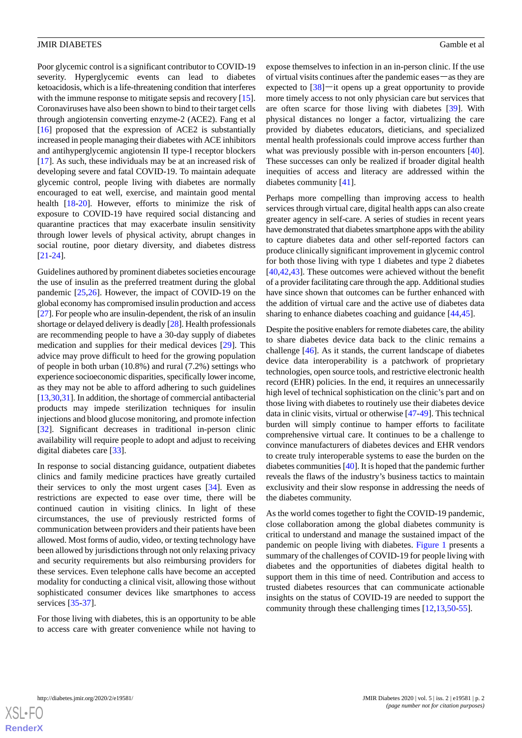Poor glycemic control is a significant contributor to COVID-19 severity. Hyperglycemic events can lead to diabetes ketoacidosis, which is a life-threatening condition that interferes with the immune response to mitigate sepsis and recovery [[15\]](#page-3-0). Coronaviruses have also been shown to bind to their target cells through angiotensin converting enzyme-2 (ACE2). Fang et al [[16\]](#page-3-1) proposed that the expression of ACE2 is substantially increased in people managing their diabetes with ACE inhibitors and antihyperglycemic angiotensin II type-I receptor blockers [[17\]](#page-3-2). As such, these individuals may be at an increased risk of developing severe and fatal COVID-19. To maintain adequate glycemic control, people living with diabetes are normally encouraged to eat well, exercise, and maintain good mental health [\[18](#page-3-3)-[20\]](#page-3-4). However, efforts to minimize the risk of exposure to COVID-19 have required social distancing and quarantine practices that may exacerbate insulin sensitivity through lower levels of physical activity, abrupt changes in social routine, poor dietary diversity, and diabetes distress [[21](#page-3-5)[-24](#page-3-6)].

Guidelines authored by prominent diabetes societies encourage the use of insulin as the preferred treatment during the global pandemic [[25](#page-3-7)[,26](#page-3-8)]. However, the impact of COVID-19 on the global economy has compromised insulin production and access [[27\]](#page-3-9). For people who are insulin-dependent, the risk of an insulin shortage or delayed delivery is deadly [\[28\]](#page-3-10). Health professionals are recommending people to have a 30-day supply of diabetes medication and supplies for their medical devices [\[29](#page-3-11)]. This advice may prove difficult to heed for the growing population of people in both urban (10.8%) and rural (7.2%) settings who experience socioeconomic disparities, specifically lower income, as they may not be able to afford adhering to such guidelines [[13,](#page-2-12)[30](#page-3-12)[,31](#page-3-13)]. In addition, the shortage of commercial antibacterial products may impede sterilization techniques for insulin injections and blood glucose monitoring, and promote infection [[32\]](#page-3-14). Significant decreases in traditional in-person clinic availability will require people to adopt and adjust to receiving digital diabetes care [\[33](#page-3-15)].

In response to social distancing guidance, outpatient diabetes clinics and family medicine practices have greatly curtailed their services to only the most urgent cases [[34\]](#page-3-16). Even as restrictions are expected to ease over time, there will be continued caution in visiting clinics. In light of these circumstances, the use of previously restricted forms of communication between providers and their patients have been allowed. Most forms of audio, video, or texting technology have been allowed by jurisdictions through not only relaxing privacy and security requirements but also reimbursing providers for these services. Even telephone calls have become an accepted modality for conducting a clinical visit, allowing those without sophisticated consumer devices like smartphones to access services [[35-](#page-3-17)[37\]](#page-3-18).

For those living with diabetes, this is an opportunity to be able to access care with greater convenience while not having to expose themselves to infection in an in-person clinic. If the use of virtual visits continues after the pandemic eases―as they are expected to  $[38]$  $[38]$ —it opens up a great opportunity to provide more timely access to not only physician care but services that are often scarce for those living with diabetes [\[39](#page-3-20)]. With physical distances no longer a factor, virtualizing the care provided by diabetes educators, dieticians, and specialized mental health professionals could improve access further than what was previously possible with in-person encounters [[40\]](#page-4-0). These successes can only be realized if broader digital health inequities of access and literacy are addressed within the diabetes community [\[41](#page-4-1)].

Perhaps more compelling than improving access to health services through virtual care, digital health apps can also create greater agency in self-care. A series of studies in recent years have demonstrated that diabetes smartphone apps with the ability to capture diabetes data and other self-reported factors can produce clinically significant improvement in glycemic control for both those living with type 1 diabetes and type 2 diabetes [[40,](#page-4-0)[42,](#page-4-2)[43\]](#page-4-3). These outcomes were achieved without the benefit of a provider facilitating care through the app. Additional studies have since shown that outcomes can be further enhanced with the addition of virtual care and the active use of diabetes data sharing to enhance diabetes coaching and guidance [[44](#page-4-4)[,45](#page-4-5)].

Despite the positive enablers for remote diabetes care, the ability to share diabetes device data back to the clinic remains a challenge [\[46](#page-4-6)]. As it stands, the current landscape of diabetes device data interoperability is a patchwork of proprietary technologies, open source tools, and restrictive electronic health record (EHR) policies. In the end, it requires an unnecessarily high level of technical sophistication on the clinic's part and on those living with diabetes to routinely use their diabetes device data in clinic visits, virtual or otherwise [[47-](#page-4-7)[49\]](#page-4-8). This technical burden will simply continue to hamper efforts to facilitate comprehensive virtual care. It continues to be a challenge to convince manufacturers of diabetes devices and EHR vendors to create truly interoperable systems to ease the burden on the diabetes communities [\[40](#page-4-0)]. It is hoped that the pandemic further reveals the flaws of the industry's business tactics to maintain exclusivity and their slow response in addressing the needs of the diabetes community.

As the world comes together to fight the COVID-19 pandemic, close collaboration among the global diabetes community is critical to understand and manage the sustained impact of the pandemic on people living with diabetes. [Figure 1](#page-2-14) presents a summary of the challenges of COVID-19 for people living with diabetes and the opportunities of diabetes digital health to support them in this time of need. Contribution and access to trusted diabetes resources that can communicate actionable insights on the status of COVID-19 are needed to support the community through these challenging times [\[12](#page-2-11),[13,](#page-2-12)[50](#page-4-9)[-55](#page-4-10)].



**[RenderX](http://www.renderx.com/)**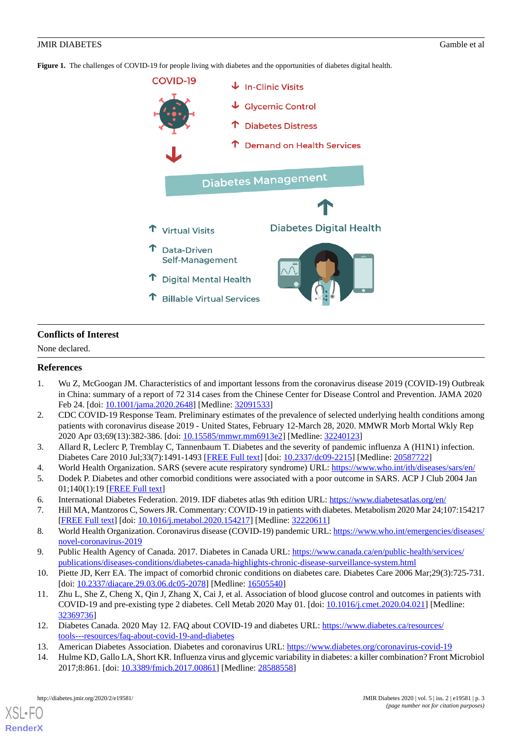<span id="page-2-14"></span>**Figure 1.** The challenges of COVID-19 for people living with diabetes and the opportunities of diabetes digital health.



# **Conflicts of Interest**

<span id="page-2-0"></span>None declared.

# <span id="page-2-1"></span>**References**

- 1. Wu Z, McGoogan JM. Characteristics of and important lessons from the coronavirus disease 2019 (COVID-19) Outbreak in China: summary of a report of 72 314 cases from the Chinese Center for Disease Control and Prevention. JAMA 2020 Feb 24. [doi: [10.1001/jama.2020.2648](http://dx.doi.org/10.1001/jama.2020.2648)] [Medline: [32091533\]](http://www.ncbi.nlm.nih.gov/entrez/query.fcgi?cmd=Retrieve&db=PubMed&list_uids=32091533&dopt=Abstract)
- <span id="page-2-3"></span><span id="page-2-2"></span>2. CDC COVID-19 Response Team. Preliminary estimates of the prevalence of selected underlying health conditions among patients with coronavirus disease 2019 - United States, February 12-March 28, 2020. MMWR Morb Mortal Wkly Rep 2020 Apr 03;69(13):382-386. [doi: [10.15585/mmwr.mm6913e2](http://dx.doi.org/10.15585/mmwr.mm6913e2)] [Medline: [32240123](http://www.ncbi.nlm.nih.gov/entrez/query.fcgi?cmd=Retrieve&db=PubMed&list_uids=32240123&dopt=Abstract)]
- <span id="page-2-5"></span><span id="page-2-4"></span>3. Allard R, Leclerc P, Tremblay C, Tannenbaum T. Diabetes and the severity of pandemic influenza A (H1N1) infection. Diabetes Care 2010 Jul;33(7):1491-1493 [[FREE Full text](http://europepmc.org/abstract/MED/20587722)] [doi: [10.2337/dc09-2215\]](http://dx.doi.org/10.2337/dc09-2215) [Medline: [20587722](http://www.ncbi.nlm.nih.gov/entrez/query.fcgi?cmd=Retrieve&db=PubMed&list_uids=20587722&dopt=Abstract)]
- <span id="page-2-6"></span>4. World Health Organization. SARS (severe acute respiratory syndrome) URL:<https://www.who.int/ith/diseases/sars/en/>
- <span id="page-2-7"></span>5. Dodek P. Diabetes and other comorbid conditions were associated with a poor outcome in SARS. ACP J Club 2004 Jan 01;140(1):19 [[FREE Full text\]](https://acpjc.acponline.org/Content/140/1/issue/ACPJC-2004-140-1-019.htm)
- <span id="page-2-8"></span>6. International Diabetes Federation. 2019. IDF diabetes atlas 9th edition URL: <https://www.diabetesatlas.org/en/>
- <span id="page-2-9"></span>7. Hill MA, Mantzoros C, Sowers JR. Commentary: COVID-19 in patients with diabetes. Metabolism 2020 Mar 24;107:154217 [[FREE Full text](http://europepmc.org/abstract/MED/32220611)] [doi: [10.1016/j.metabol.2020.154217](http://dx.doi.org/10.1016/j.metabol.2020.154217)] [Medline: [32220611](http://www.ncbi.nlm.nih.gov/entrez/query.fcgi?cmd=Retrieve&db=PubMed&list_uids=32220611&dopt=Abstract)]
- <span id="page-2-10"></span>8. World Health Organization. Coronavirus disease (COVID-19) pandemic URL: [https://www.who.int/emergencies/diseases/](https://www.who.int/emergencies/diseases/novel-coronavirus-2019) [novel-coronavirus-2019](https://www.who.int/emergencies/diseases/novel-coronavirus-2019)
- 9. Public Health Agency of Canada. 2017. Diabetes in Canada URL: [https://www.canada.ca/en/public-health/services/](https://www.canada.ca/en/public-health/services/publications/diseases-conditions/diabetes-canada-highlights-chronic-disease-surveillance-system.html) [publications/diseases-conditions/diabetes-canada-highlights-chronic-disease-surveillance-system.html](https://www.canada.ca/en/public-health/services/publications/diseases-conditions/diabetes-canada-highlights-chronic-disease-surveillance-system.html)
- <span id="page-2-12"></span><span id="page-2-11"></span>10. Piette JD, Kerr EA. The impact of comorbid chronic conditions on diabetes care. Diabetes Care 2006 Mar;29(3):725-731. [doi: [10.2337/diacare.29.03.06.dc05-2078\]](http://dx.doi.org/10.2337/diacare.29.03.06.dc05-2078) [Medline: [16505540\]](http://www.ncbi.nlm.nih.gov/entrez/query.fcgi?cmd=Retrieve&db=PubMed&list_uids=16505540&dopt=Abstract)
- <span id="page-2-13"></span>11. Zhu L, She Z, Cheng X, Qin J, Zhang X, Cai J, et al. Association of blood glucose control and outcomes in patients with COVID-19 and pre-existing type 2 diabetes. Cell Metab 2020 May 01. [doi: [10.1016/j.cmet.2020.04.021](http://dx.doi.org/10.1016/j.cmet.2020.04.021)] [Medline: [32369736](http://www.ncbi.nlm.nih.gov/entrez/query.fcgi?cmd=Retrieve&db=PubMed&list_uids=32369736&dopt=Abstract)]
- 12. Diabetes Canada. 2020 May 12. FAQ about COVID-19 and diabetes URL: [https://www.diabetes.ca/resources/](https://www.diabetes.ca/resources/tools---resources/faq-about-covid-19-and-diabetes) [tools---resources/faq-about-covid-19-and-diabetes](https://www.diabetes.ca/resources/tools---resources/faq-about-covid-19-and-diabetes)
- 13. American Diabetes Association. Diabetes and coronavirus URL:<https://www.diabetes.org/coronavirus-covid-19>
- 14. Hulme KD, Gallo LA, Short KR. Influenza virus and glycemic variability in diabetes: a killer combination? Front Microbiol 2017;8:861. [doi: [10.3389/fmicb.2017.00861\]](http://dx.doi.org/10.3389/fmicb.2017.00861) [Medline: [28588558](http://www.ncbi.nlm.nih.gov/entrez/query.fcgi?cmd=Retrieve&db=PubMed&list_uids=28588558&dopt=Abstract)]

[XSL](http://www.w3.org/Style/XSL)•FO **[RenderX](http://www.renderx.com/)**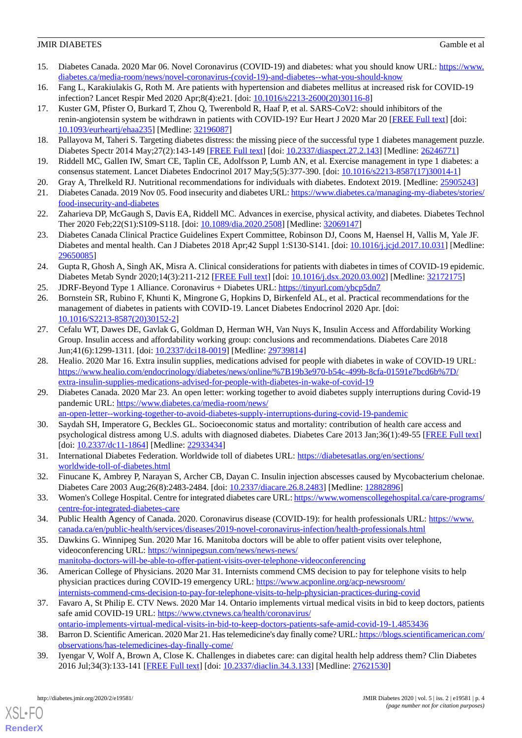- <span id="page-3-0"></span>15. Diabetes Canada. 2020 Mar 06. Novel Coronavirus (COVID-19) and diabetes: what you should know URL: [https://www.](https://www.diabetes.ca/media-room/news/novel-coronavirus-(covid-19)-and-diabetes--what-you-should-know) [diabetes.ca/media-room/news/novel-coronavirus-\(covid-19\)-and-diabetes--what-you-should-know](https://www.diabetes.ca/media-room/news/novel-coronavirus-(covid-19)-and-diabetes--what-you-should-know)
- <span id="page-3-1"></span>16. Fang L, Karakiulakis G, Roth M. Are patients with hypertension and diabetes mellitus at increased risk for COVID-19 infection? Lancet Respir Med 2020 Apr;8(4):e21. [doi: [10.1016/s2213-2600\(20\)30116-8\]](http://dx.doi.org/10.1016/s2213-2600(20)30116-8)
- <span id="page-3-2"></span>17. Kuster GM, Pfister O, Burkard T, Zhou Q, Twerenbold R, Haaf P, et al. SARS-CoV2: should inhibitors of the renin-angiotensin system be withdrawn in patients with COVID-19? Eur Heart J 2020 Mar 20 [[FREE Full text\]](http://europepmc.org/abstract/MED/32196087) [doi: [10.1093/eurheartj/ehaa235](http://dx.doi.org/10.1093/eurheartj/ehaa235)] [Medline: [32196087](http://www.ncbi.nlm.nih.gov/entrez/query.fcgi?cmd=Retrieve&db=PubMed&list_uids=32196087&dopt=Abstract)]
- <span id="page-3-3"></span>18. Pallayova M, Taheri S. Targeting diabetes distress: the missing piece of the successful type 1 diabetes management puzzle. Diabetes Spectr 2014 May;27(2):143-149 [\[FREE Full text\]](http://europepmc.org/abstract/MED/26246771) [doi: [10.2337/diaspect.27.2.143](http://dx.doi.org/10.2337/diaspect.27.2.143)] [Medline: [26246771](http://www.ncbi.nlm.nih.gov/entrez/query.fcgi?cmd=Retrieve&db=PubMed&list_uids=26246771&dopt=Abstract)]
- <span id="page-3-4"></span>19. Riddell MC, Gallen IW, Smart CE, Taplin CE, Adolfsson P, Lumb AN, et al. Exercise management in type 1 diabetes: a consensus statement. Lancet Diabetes Endocrinol 2017 May;5(5):377-390. [doi: [10.1016/s2213-8587\(17\)30014-1](http://dx.doi.org/10.1016/s2213-8587(17)30014-1)]
- <span id="page-3-5"></span>20. Gray A, Threlkeld RJ. Nutritional recommendations for individuals with diabetes. Endotext 2019. [Medline: [25905243](http://www.ncbi.nlm.nih.gov/entrez/query.fcgi?cmd=Retrieve&db=PubMed&list_uids=25905243&dopt=Abstract)]
- 21. Diabetes Canada. 2019 Nov 05. Food insecurity and diabetes URL: [https://www.diabetes.ca/managing-my-diabetes/stories/](https://www.diabetes.ca/managing-my-diabetes/stories/food-insecurity-and-diabetes) [food-insecurity-and-diabetes](https://www.diabetes.ca/managing-my-diabetes/stories/food-insecurity-and-diabetes)
- 22. Zaharieva DP, McGaugh S, Davis EA, Riddell MC. Advances in exercise, physical activity, and diabetes. Diabetes Technol Ther 2020 Feb;22(S1):S109-S118. [doi: [10.1089/dia.2020.2508\]](http://dx.doi.org/10.1089/dia.2020.2508) [Medline: [32069147](http://www.ncbi.nlm.nih.gov/entrez/query.fcgi?cmd=Retrieve&db=PubMed&list_uids=32069147&dopt=Abstract)]
- <span id="page-3-6"></span>23. Diabetes Canada Clinical Practice Guidelines Expert Committee, Robinson DJ, Coons M, Haensel H, Vallis M, Yale JF. Diabetes and mental health. Can J Diabetes 2018 Apr;42 Suppl 1:S130-S141. [doi: [10.1016/j.jcjd.2017.10.031\]](http://dx.doi.org/10.1016/j.jcjd.2017.10.031) [Medline: [29650085](http://www.ncbi.nlm.nih.gov/entrez/query.fcgi?cmd=Retrieve&db=PubMed&list_uids=29650085&dopt=Abstract)]
- <span id="page-3-8"></span><span id="page-3-7"></span>24. Gupta R, Ghosh A, Singh AK, Misra A. Clinical considerations for patients with diabetes in times of COVID-19 epidemic. Diabetes Metab Syndr 2020;14(3):211-212 [[FREE Full text](http://europepmc.org/abstract/MED/32172175)] [doi: [10.1016/j.dsx.2020.03.002](http://dx.doi.org/10.1016/j.dsx.2020.03.002)] [Medline: [32172175](http://www.ncbi.nlm.nih.gov/entrez/query.fcgi?cmd=Retrieve&db=PubMed&list_uids=32172175&dopt=Abstract)]
- 25. JDRF-Beyond Type 1 Alliance. Coronavirus + Diabetes URL: [https://tinyurl.com/ybcp5dn7](https://coronavirusdiabetes.org/?utm_source=diaTribe&utm_campaign=ad3a8b9595-EMAIL_CAMPAIGN_2020_04_24_08_30&utm_medium=email&utm_term=0_22467a8528-ad3a8b9595-152727485)
- <span id="page-3-9"></span>26. Bornstein SR, Rubino F, Khunti K, Mingrone G, Hopkins D, Birkenfeld AL, et al. Practical recommendations for the management of diabetes in patients with COVID-19. Lancet Diabetes Endocrinol 2020 Apr. [doi: [10.1016/S2213-8587\(20\)30152-2\]](http://dx.doi.org/10.1016/S2213-8587(20)30152-2)
- <span id="page-3-10"></span>27. Cefalu WT, Dawes DE, Gavlak G, Goldman D, Herman WH, Van Nuys K, Insulin Access and Affordability Working Group. Insulin access and affordability working group: conclusions and recommendations. Diabetes Care 2018 Jun;41(6):1299-1311. [doi: [10.2337/dci18-0019](http://dx.doi.org/10.2337/dci18-0019)] [Medline: [29739814\]](http://www.ncbi.nlm.nih.gov/entrez/query.fcgi?cmd=Retrieve&db=PubMed&list_uids=29739814&dopt=Abstract)
- <span id="page-3-11"></span>28. Healio. 2020 Mar 16. Extra insulin supplies, medications advised for people with diabetes in wake of COVID-19 URL: [https://www.healio.com/endocrinology/diabetes/news/online/%7B19b3e970-b54c-499b-8cfa-01591e7bcd6b%7D/](https://www.healio.com/endocrinology/diabetes/news/online/%7B19b3e970-b54c-499b-8cfa-01591e7bcd6b%7D/extra-insulin-supplies-medications-advised-for-people-with-diabetes-in-wake-of-covid-19) [extra-insulin-supplies-medications-advised-for-people-with-diabetes-in-wake-of-covid-19](https://www.healio.com/endocrinology/diabetes/news/online/%7B19b3e970-b54c-499b-8cfa-01591e7bcd6b%7D/extra-insulin-supplies-medications-advised-for-people-with-diabetes-in-wake-of-covid-19)
- <span id="page-3-12"></span>29. Diabetes Canada. 2020 Mar 23. An open letter: working together to avoid diabetes supply interruptions during Covid-19 pandemic URL: [https://www.diabetes.ca/media-room/news/](https://www.diabetes.ca/media-room/news/an-open-letter--working-together-to-avoid-diabetes-supply-interruptions-during-covid-19-pandemic)
- <span id="page-3-14"></span><span id="page-3-13"></span>[an-open-letter--working-together-to-avoid-diabetes-supply-interruptions-during-covid-19-pandemic](https://www.diabetes.ca/media-room/news/an-open-letter--working-together-to-avoid-diabetes-supply-interruptions-during-covid-19-pandemic) 30. Saydah SH, Imperatore G, Beckles GL. Socioeconomic status and mortality: contribution of health care access and psychological distress among U.S. adults with diagnosed diabetes. Diabetes Care 2013 Jan;36(1):49-55 [[FREE Full text](http://europepmc.org/abstract/MED/22933434)] [doi: [10.2337/dc11-1864\]](http://dx.doi.org/10.2337/dc11-1864) [Medline: [22933434\]](http://www.ncbi.nlm.nih.gov/entrez/query.fcgi?cmd=Retrieve&db=PubMed&list_uids=22933434&dopt=Abstract)
- <span id="page-3-15"></span>31. International Diabetes Federation. Worldwide toll of diabetes URL: [https://diabetesatlas.org/en/sections/](https://diabetesatlas.org/en/sections/worldwide-toll-of-diabetes.html) [worldwide-toll-of-diabetes.html](https://diabetesatlas.org/en/sections/worldwide-toll-of-diabetes.html)
- <span id="page-3-17"></span><span id="page-3-16"></span>32. Finucane K, Ambrey P, Narayan S, Archer CB, Dayan C. Insulin injection abscesses caused by Mycobacterium chelonae. Diabetes Care 2003 Aug;26(8):2483-2484. [doi: [10.2337/diacare.26.8.2483\]](http://dx.doi.org/10.2337/diacare.26.8.2483) [Medline: [12882896](http://www.ncbi.nlm.nih.gov/entrez/query.fcgi?cmd=Retrieve&db=PubMed&list_uids=12882896&dopt=Abstract)]
- 33. Women's College Hospital. Centre for integrated diabetes care URL: [https://www.womenscollegehospital.ca/care-programs/](https://www.womenscollegehospital.ca/care-programs/centre-for-integrated-diabetes-care) [centre-for-integrated-diabetes-care](https://www.womenscollegehospital.ca/care-programs/centre-for-integrated-diabetes-care)
- 34. Public Health Agency of Canada. 2020. Coronavirus disease (COVID-19): for health professionals URL: [https://www.](https://www.canada.ca/en/public-health/services/diseases/2019-novel-coronavirus-infection/health-professionals.html) [canada.ca/en/public-health/services/diseases/2019-novel-coronavirus-infection/health-professionals.html](https://www.canada.ca/en/public-health/services/diseases/2019-novel-coronavirus-infection/health-professionals.html)
- <span id="page-3-18"></span>35. Dawkins G. Winnipeg Sun. 2020 Mar 16. Manitoba doctors will be able to offer patient visits over telephone, videoconferencing URL: [https://winnipegsun.com/news/news-news/](https://winnipegsun.com/news/news-news/manitoba-doctors-will-be-able-to-offer-patient-visits-over-telephone-videoconferencing) [manitoba-doctors-will-be-able-to-offer-patient-visits-over-telephone-videoconferencing](https://winnipegsun.com/news/news-news/manitoba-doctors-will-be-able-to-offer-patient-visits-over-telephone-videoconferencing)
- <span id="page-3-19"></span>36. American College of Physicians. 2020 Mar 31. Internists commend CMS decision to pay for telephone visits to help physician practices during COVID-19 emergency URL: [https://www.acponline.org/acp-newsroom/](https://www.acponline.org/acp-newsroom/internists-commend-cms-decision-to-pay-for-telephone-visits-to-help-physician-practices-during-covid) [internists-commend-cms-decision-to-pay-for-telephone-visits-to-help-physician-practices-during-covid](https://www.acponline.org/acp-newsroom/internists-commend-cms-decision-to-pay-for-telephone-visits-to-help-physician-practices-during-covid)
- <span id="page-3-20"></span>37. Favaro A, St Philip E. CTV News. 2020 Mar 14. Ontario implements virtual medical visits in bid to keep doctors, patients safe amid COVID-19 URL: [https://www.ctvnews.ca/health/coronavirus/](https://www.ctvnews.ca/health/coronavirus/ontario-implements-virtual-medical-visits-in-bid-to-keep-doctors-patients-safe-amid-covid-19-1.4853436)
- [ontario-implements-virtual-medical-visits-in-bid-to-keep-doctors-patients-safe-amid-covid-19-1.4853436](https://www.ctvnews.ca/health/coronavirus/ontario-implements-virtual-medical-visits-in-bid-to-keep-doctors-patients-safe-amid-covid-19-1.4853436)
- 38. Barron D. Scientific American. 2020 Mar 21. Has telemedicine's day finally come? URL: [https://blogs.scientificamerican.com/](https://blogs.scientificamerican.com/observations/has-telemedicines-day-finally-come/) [observations/has-telemedicines-day-finally-come/](https://blogs.scientificamerican.com/observations/has-telemedicines-day-finally-come/)
- 39. Iyengar V, Wolf A, Brown A, Close K. Challenges in diabetes care: can digital health help address them? Clin Diabetes 2016 Jul;34(3):133-141 [\[FREE Full text\]](http://europepmc.org/abstract/MED/27621530) [doi: [10.2337/diaclin.34.3.133\]](http://dx.doi.org/10.2337/diaclin.34.3.133) [Medline: [27621530](http://www.ncbi.nlm.nih.gov/entrez/query.fcgi?cmd=Retrieve&db=PubMed&list_uids=27621530&dopt=Abstract)]

[XSL](http://www.w3.org/Style/XSL)•FO **[RenderX](http://www.renderx.com/)**